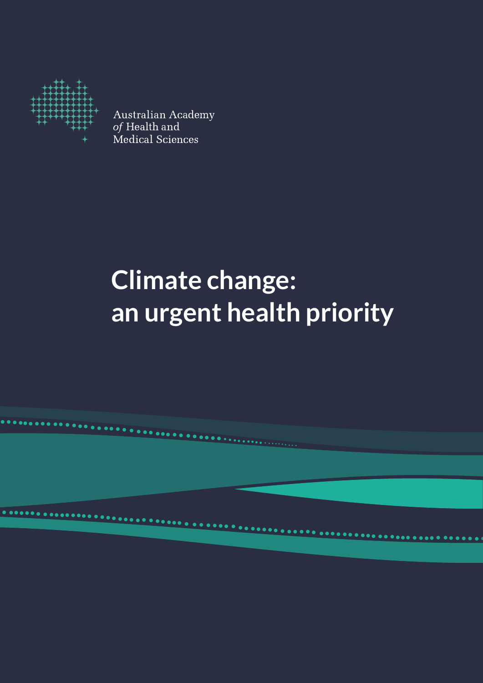

Australian Academy<br>*of* Health and<br>Medical Sciences

# **Climate change: an urgent health priority**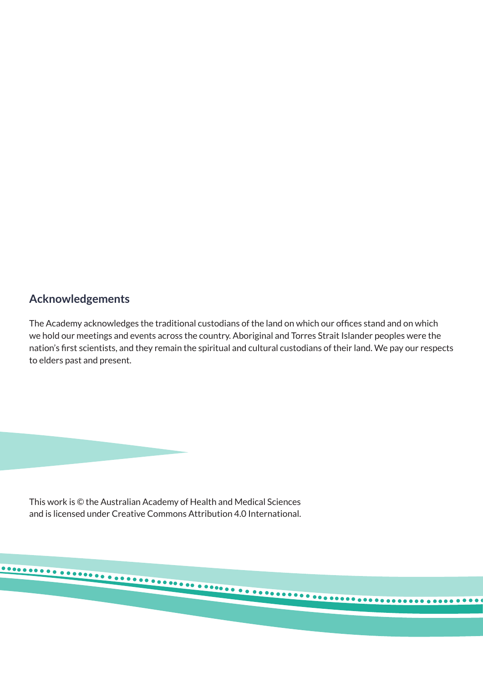## **Acknowledgements**

The Academy acknowledges the traditional custodians of the land on which our offices stand and on which we hold our meetings and events across the country. Aboriginal and Torres Strait Islander peoples were the nation's first scientists, and they remain the spiritual and cultural custodians of their land. We pay our respects to elders past and present.

This work is © the Australian Academy of Health and Medical Sciences and is licensed under Creative Commons Attribution 4.0 International.

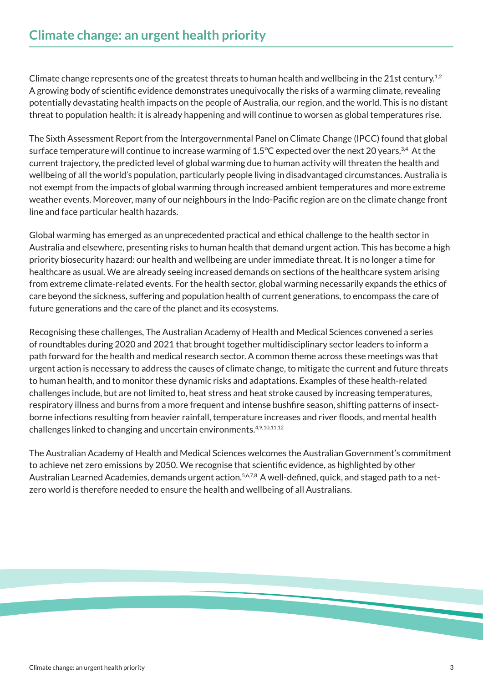Climate change represents one of the greatest threats to human health and wellbeing in the 21st century.<sup>1,2</sup> A growing body of scientific evidence demonstrates unequivocally the risks of a warming climate, revealing potentially devastating health impacts on the people of Australia, our region, and the world. This is no distant threat to population health: it is already happening and will continue to worsen as global temperatures rise.

The Sixth Assessment Report from the Intergovernmental Panel on Climate Change (IPCC) found that global surface temperature will continue to increase warming of 1.5°C expected over the next 20 years.<sup>3,4</sup> At the current trajectory, the predicted level of global warming due to human activity will threaten the health and wellbeing of all the world's population, particularly people living in disadvantaged circumstances. Australia is not exempt from the impacts of global warming through increased ambient temperatures and more extreme weather events. Moreover, many of our neighbours in the Indo-Pacific region are on the climate change front line and face particular health hazards.

Global warming has emerged as an unprecedented practical and ethical challenge to the health sector in Australia and elsewhere, presenting risks to human health that demand urgent action. This has become a high priority biosecurity hazard: our health and wellbeing are under immediate threat. It is no longer a time for healthcare as usual. We are already seeing increased demands on sections of the healthcare system arising from extreme climate-related events. For the health sector, global warming necessarily expands the ethics of care beyond the sickness, suffering and population health of current generations, to encompass the care of future generations and the care of the planet and its ecosystems.

Recognising these challenges, The Australian Academy of Health and Medical Sciences convened a series of roundtables during 2020 and 2021 that brought together multidisciplinary sector leaders to inform a path forward for the health and medical research sector. A common theme across these meetings was that urgent action is necessary to address the causes of climate change, to mitigate the current and future threats to human health, and to monitor these dynamic risks and adaptations. Examples of these health-related challenges include, but are not limited to, heat stress and heat stroke caused by increasing temperatures, respiratory illness and burns from a more frequent and intense bushfire season, shifting patterns of insectborne infections resulting from heavier rainfall, temperature increases and river floods, and mental health challenges linked to changing and uncertain environments.<sup>4,9,10,11,12</sup>

The Australian Academy of Health and Medical Sciences welcomes the Australian Government's commitment to achieve net zero emissions by 2050. We recognise that scientific evidence, as highlighted by other Australian Learned Academies, demands urgent action.<sup>5,6,7,8</sup> A well-defined, quick, and staged path to a netzero world is therefore needed to ensure the health and wellbeing of all Australians.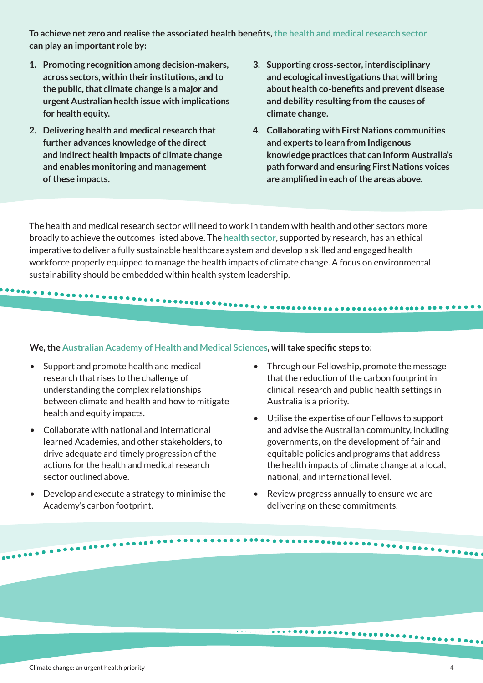**To achieve net zero and realise the associated health benefits, the health and medical research sector can play an important role by:**

- **1. Promoting recognition among decision-makers, across sectors, within their institutions, and to the public, that climate change is a major and urgent Australian health issue with implications for health equity.**
- **2. Delivering health and medical research that further advances knowledge of the direct and indirect health impacts of climate change and enables monitoring and management of these impacts.**
- **3. Supporting cross-sector, interdisciplinary and ecological investigations that will bring about health co-benefits and prevent disease and debility resulting from the causes of climate change.**
- **4. Collaborating with First Nations communities and experts to learn from Indigenous knowledge practices that can inform Australia's path forward and ensuring First Nations voices are amplified in each of the areas above.**

The health and medical research sector will need to work in tandem with health and other sectors more broadly to achieve the outcomes listed above. The **health sector**, supported by research, has an ethical imperative to deliver a fully sustainable healthcare system and develop a skilled and engaged health workforce properly equipped to manage the health impacts of climate change. A focus on environmental sustainability should be embedded within health system leadership.

#### **We, the Australian Academy of Health and Medical Sciences, will take specific steps to:**

. . . . . . . . . . . . . . .

- Support and promote health and medical research that rises to the challenge of understanding the complex relationships between climate and health and how to mitigate health and equity impacts.
- Collaborate with national and international learned Academies, and other stakeholders, to drive adequate and timely progression of the actions for the health and medical research sector outlined above.
- Develop and execute a strategy to minimise the Academy's carbon footprint.

• Through our Fellowship, promote the message that the reduction of the carbon footprint in clinical, research and public health settings in Australia is a priority.

- Utilise the expertise of our Fellows to support and advise the Australian community, including governments, on the development of fair and equitable policies and programs that address the health impacts of climate change at a local, national, and international level.
- Review progress annually to ensure we are delivering on these commitments.

..........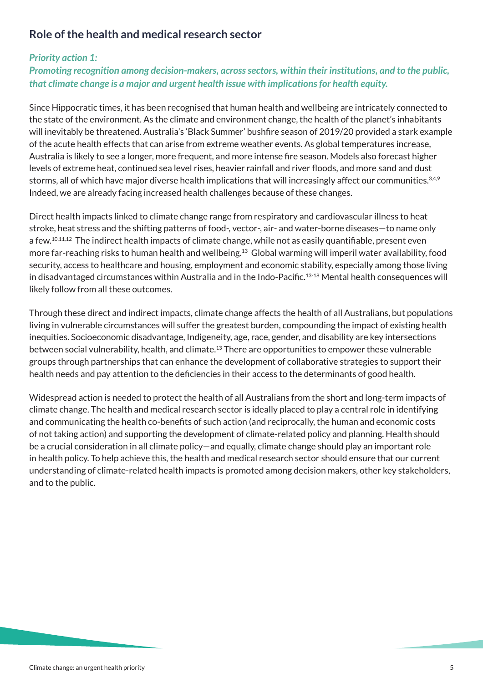## **Role of the health and medical research sector**

## *Priority action 1:*

*Promoting recognition among decision-makers, across sectors, within their institutions, and to the public, that climate change is a major and urgent health issue with implications for health equity.*

Since Hippocratic times, it has been recognised that human health and wellbeing are intricately connected to the state of the environment. As the climate and environment change, the health of the planet's inhabitants will inevitably be threatened. Australia's 'Black Summer' bushfire season of 2019/20 provided a stark example of the acute health effects that can arise from extreme weather events. As global temperatures increase, Australia is likely to see a longer, more frequent, and more intense fire season. Models also forecast higher levels of extreme heat, continued sea level rises, heavier rainfall and river floods, and more sand and dust storms, all of which have major diverse health implications that will increasingly affect our communities.<sup>3,4,9</sup> Indeed, we are already facing increased health challenges because of these changes.

Direct health impacts linked to climate change range from respiratory and cardiovascular illness to heat stroke, heat stress and the shifting patterns of food-, vector-, air- and water-borne diseases—to name only a few.10,11,12 The indirect health impacts of climate change, while not as easily quantifiable, present even more far-reaching risks to human health and wellbeing.13 Global warming will imperil water availability, food security, access to healthcare and housing, employment and economic stability, especially among those living in disadvantaged circumstances within Australia and in the Indo-Pacific.13-18 Mental health consequences will likely follow from all these outcomes.

Through these direct and indirect impacts, climate change affects the health of all Australians, but populations living in vulnerable circumstances will suffer the greatest burden, compounding the impact of existing health inequities. Socioeconomic disadvantage, Indigeneity, age, race, gender, and disability are key intersections between social vulnerability, health, and climate.<sup>13</sup> There are opportunities to empower these vulnerable groups through partnerships that can enhance the development of collaborative strategies to support their health needs and pay attention to the deficiencies in their access to the determinants of good health.

Widespread action is needed to protect the health of all Australians from the short and long-term impacts of climate change. The health and medical research sector is ideally placed to play a central role in identifying and communicating the health co-benefits of such action (and reciprocally, the human and economic costs of not taking action) and supporting the development of climate-related policy and planning. Health should be a crucial consideration in all climate policy—and equally, climate change should play an important role in health policy. To help achieve this, the health and medical research sector should ensure that our current understanding of climate-related health impacts is promoted among decision makers, other key stakeholders, and to the public.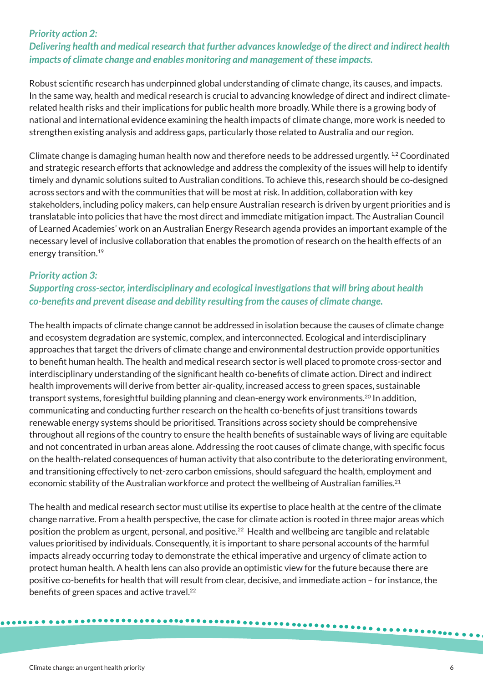#### *Priority action 2:*

## *Delivering health and medical research that further advances knowledge of the direct and indirect health impacts of climate change and enables monitoring and management of these impacts.*

Robust scientific research has underpinned global understanding of climate change, its causes, and impacts. In the same way, health and medical research is crucial to advancing knowledge of direct and indirect climaterelated health risks and their implications for public health more broadly. While there is a growing body of national and international evidence examining the health impacts of climate change, more work is needed to strengthen existing analysis and address gaps, particularly those related to Australia and our region.

Climate change is damaging human health now and therefore needs to be addressed urgently.<sup>1,2</sup> Coordinated and strategic research efforts that acknowledge and address the complexity of the issues will help to identify timely and dynamic solutions suited to Australian conditions. To achieve this, research should be co-designed across sectors and with the communities that will be most at risk. In addition, collaboration with key stakeholders, including policy makers, can help ensure Australian research is driven by urgent priorities and is translatable into policies that have the most direct and immediate mitigation impact. The Australian Council of Learned Academies' work on an Australian Energy Research agenda provides an important example of the necessary level of inclusive collaboration that enables the promotion of research on the health effects of an energy transition.<sup>19</sup>

#### *Priority action 3:*

## *Supporting cross-sector, interdisciplinary and ecological investigations that will bring about health co-benefits and prevent disease and debility resulting from the causes of climate change.*

The health impacts of climate change cannot be addressed in isolation because the causes of climate change and ecosystem degradation are systemic, complex, and interconnected. Ecological and interdisciplinary approaches that target the drivers of climate change and environmental destruction provide opportunities to benefit human health. The health and medical research sector is well placed to promote cross-sector and interdisciplinary understanding of the significant health co-benefits of climate action. Direct and indirect health improvements will derive from better air-quality, increased access to green spaces, sustainable transport systems, foresightful building planning and clean-energy work environments.20 In addition, communicating and conducting further research on the health co-benefits of just transitions towards renewable energy systems should be prioritised. Transitions across society should be comprehensive throughout all regions of the country to ensure the health benefits of sustainable ways of living are equitable and not concentrated in urban areas alone. Addressing the root causes of climate change, with specific focus on the health-related consequences of human activity that also contribute to the deteriorating environment, and transitioning effectively to net-zero carbon emissions, should safeguard the health, employment and economic stability of the Australian workforce and protect the wellbeing of Australian families.<sup>21</sup>

The health and medical research sector must utilise its expertise to place health at the centre of the climate change narrative. From a health perspective, the case for climate action is rooted in three major areas which position the problem as urgent, personal, and positive.<sup>22</sup> Health and wellbeing are tangible and relatable values prioritised by individuals. Consequently, it is important to share personal accounts of the harmful impacts already occurring today to demonstrate the ethical imperative and urgency of climate action to protect human health. A health lens can also provide an optimistic view for the future because there are positive co-benefits for health that will result from clear, decisive, and immediate action – for instance, the benefits of green spaces and active travel.<sup>22</sup>

...........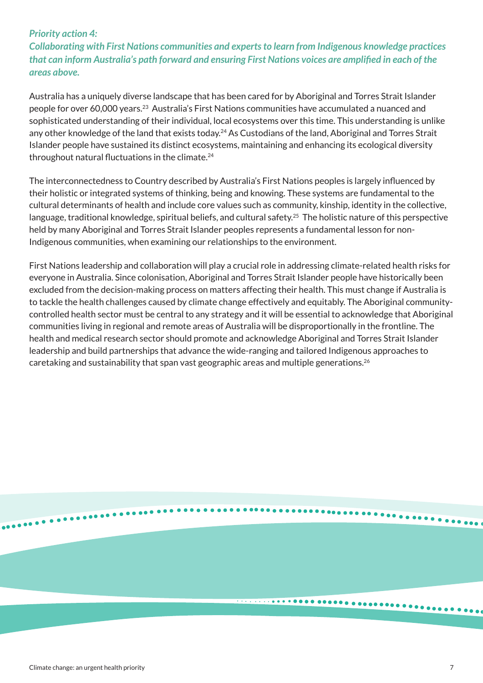#### *Priority action 4:*

*Collaborating with First Nations communities and experts to learn from Indigenous knowledge practices that can inform Australia's path forward and ensuring First Nations voices are amplified in each of the areas above.*

Australia has a uniquely diverse landscape that has been cared for by Aboriginal and Torres Strait Islander people for over 60,000 years.23 Australia's First Nations communities have accumulated a nuanced and sophisticated understanding of their individual, local ecosystems over this time. This understanding is unlike any other knowledge of the land that exists today.<sup>24</sup> As Custodians of the land, Aboriginal and Torres Strait Islander people have sustained its distinct ecosystems, maintaining and enhancing its ecological diversity throughout natural fluctuations in the climate.<sup>24</sup>

The interconnectedness to Country described by Australia's First Nations peoples is largely influenced by their holistic or integrated systems of thinking, being and knowing. These systems are fundamental to the cultural determinants of health and include core values such as community, kinship, identity in the collective, language, traditional knowledge, spiritual beliefs, and cultural safety.25 The holistic nature of this perspective held by many Aboriginal and Torres Strait Islander peoples represents a fundamental lesson for non-Indigenous communities, when examining our relationships to the environment.

First Nations leadership and collaboration will play a crucial role in addressing climate-related health risks for everyone in Australia. Since colonisation, Aboriginal and Torres Strait Islander people have historically been excluded from the decision-making process on matters affecting their health. This must change if Australia is to tackle the health challenges caused by climate change effectively and equitably. The Aboriginal communitycontrolled health sector must be central to any strategy and it will be essential to acknowledge that Aboriginal communities living in regional and remote areas of Australia will be disproportionally in the frontline. The health and medical research sector should promote and acknowledge Aboriginal and Torres Strait Islander leadership and build partnerships that advance the wide-ranging and tailored Indigenous approaches to caretaking and sustainability that span vast geographic areas and multiple generations.<sup>26</sup>

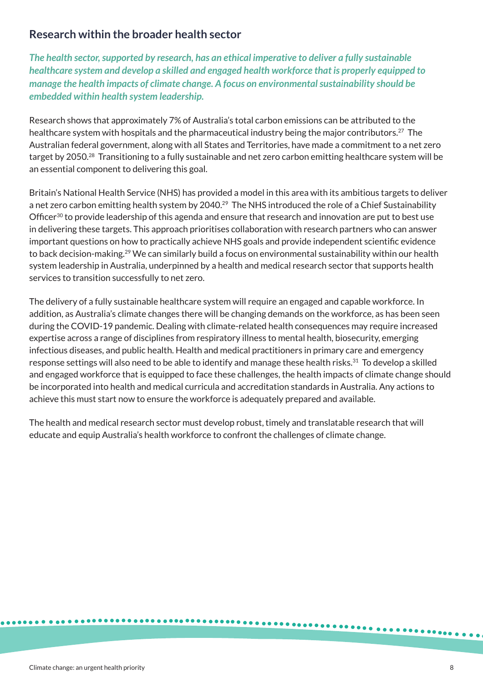## **Research within the broader health sector**

*The health sector, supported by research, has an ethical imperative to deliver a fully sustainable healthcare system and develop a skilled and engaged health workforce that is properly equipped to manage the health impacts of climate change. A focus on environmental sustainability should be embedded within health system leadership.* 

Research shows that approximately 7% of Australia's total carbon emissions can be attributed to the healthcare system with hospitals and the pharmaceutical industry being the major contributors.<sup>27</sup> The Australian federal government, along with all States and Territories, have made a commitment to a net zero target by 2050.<sup>28</sup> Transitioning to a fully sustainable and net zero carbon emitting healthcare system will be an essential component to delivering this goal.

Britain's National Health Service (NHS) has provided a model in this area with its ambitious targets to deliver a net zero carbon emitting health system by 2040.<sup>29</sup> The NHS introduced the role of a Chief Sustainability Officer<sup>30</sup> to provide leadership of this agenda and ensure that research and innovation are put to best use in delivering these targets. This approach prioritises collaboration with research partners who can answer important questions on how to practically achieve NHS goals and provide independent scientific evidence to back decision-making.29 We can similarly build a focus on environmental sustainability within our health system leadership in Australia, underpinned by a health and medical research sector that supports health services to transition successfully to net zero.

The delivery of a fully sustainable healthcare system will require an engaged and capable workforce. In addition, as Australia's climate changes there will be changing demands on the workforce, as has been seen during the COVID-19 pandemic. Dealing with climate-related health consequences may require increased expertise across a range of disciplines from respiratory illness to mental health, biosecurity, emerging infectious diseases, and public health. Health and medical practitioners in primary care and emergency response settings will also need to be able to identify and manage these health risks.<sup>31</sup> To develop a skilled and engaged workforce that is equipped to face these challenges, the health impacts of climate change should be incorporated into health and medical curricula and accreditation standards in Australia. Any actions to achieve this must start now to ensure the workforce is adequately prepared and available.

The health and medical research sector must develop robust, timely and translatable research that will educate and equip Australia's health workforce to confront the challenges of climate change.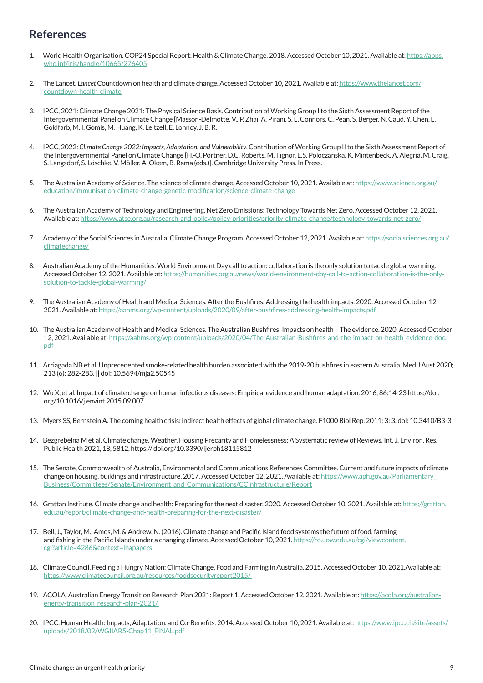## **References**

- 1. World Health Organisation. COP24 Special Report: Health & Climate Change. 2018. Accessed October 10, 2021. Available at: https://apps. who.int/iris/handle/10665/276405
- 2. The Lancet. *Lancet* Countdown on health and climate change. Accessed October 10, 2021. Available at: https://www.thelancet.com/ countdown-health-climate
- 3. IPCC, 2021: Climate Change 2021: The Physical Science Basis. Contribution of Working Group I to the Sixth Assessment Report of the Intergovernmental Panel on Climate Change [Masson-Delmotte, V., P. Zhai, A. Pirani, S. L. Connors, C. Péan, S. Berger, N. Caud, Y. Chen, L. Goldfarb, M. I. Gomis, M. Huang, K. Leitzell, E. Lonnoy, J. B. R.
- 4. IPCC, 2022: *Climate Change 2022: Impacts, Adaptation, and Vulnerability*. Contribution of Working Group II to the Sixth Assessment Report of the Intergovernmental Panel on Climate Change [H.-O. Pörtner, D.C. Roberts, M. Tignor, E.S. Poloczanska, K. Mintenbeck, A. Alegría, M. Craig, S. Langsdorf, S. Löschke, V. Möller, A. Okem, B. Rama (eds.)]. Cambridge University Press. In Press.
- 5. The Australian Academy of Science. The science of climate change. Accessed October 10, 2021. Available at: https://www.science.org.au/ education/immunisation-climate-change-genetic-modification/science-climate-change
- 6. The Australian Academy of Technology and Engineering. Net Zero Emissions: Technology Towards Net Zero. Accessed October 12, 2021. Available at: https://www.atse.org.au/research-and-policy/policy-priorities/priority-climate-change/technology-towards-net-zero/
- 7. Academy of the Social Sciences in Australia. Climate Change Program. Accessed October 12, 2021. Available at: https://socialsciences.org.au/ climatechange/
- 8. Australian Academy of the Humanities. World Environment Day call to action: collaboration is the only solution to tackle global warming. Accessed October 12, 2021. Available at: https://humanities.org.au/news/world-environment-day-call-to-action-collaboration-is-the-onlysolution-to-tackle-global-warming/
- 9. The Australian Academy of Health and Medical Sciences. After the Bushfires: Addressing the health impacts. 2020. Accessed October 12, 2021. Available at: https://aahms.org/wp-content/uploads/2020/09/after-bushfires-addressing-health-impacts.pdf
- 10. The Australian Academy of Health and Medical Sciences. The Australian Bushfires: Impacts on health The evidence. 2020. Accessed October 12, 2021. Available at: https://aahms.org/wp-content/uploads/2020/04/The-Australian-Bushfires-and-the-impact-on-health\_evidence-doc. pdf
- 11. Arriagada NB et al. Unprecedented smoke-related health burden associated with the 2019-20 bushfires in eastern Australia. Med J Aust 2020; 213 (6): 282-283. || doi: 10.5694/mja2.50545
- 12. Wu X, et al. Impact of climate change on human infectious diseases: Empirical evidence and human adaptation. 2016, 86;14-23 https://doi. org/10.1016/j.envint.2015.09.007
- 13. Myers SS, Bernstein A. The coming health crisis: indirect health effects of global climate change. F1000 Biol Rep. 2011; 3: 3. doi: 10.3410/B3-3
- 14. Bezgrebelna M et al. Climate change, Weather, Housing Precarity and Homelessness: A Systematic review of Reviews. Int. J. Environ. Res. Public Health 2021, 18, 5812. https:// doi.org/10.3390/ijerph18115812
- 15. The Senate, Commonwealth of Australia, Environmental and Communications References Committee. Current and future impacts of climate change on housing, buildings and infrastructure. 2017. Accessed October 12, 2021. Available at: https://www.aph.gov.au/Parliamentary\_ Business/Committees/Senate/Environment\_and\_Communications/CCInfrastructure/Report
- 16. Grattan Institute. Climate change and health: Preparing for the next disaster. 2020. Accessed October 10, 2021. Available at: https://grattan. edu.au/report/climate-change-and-health-preparing-for-the-next-disaster/
- 17. Bell, J., Taylor, M., Amos, M. & Andrew, N. (2016). Climate change and Pacific Island food systems the future of food, farming and fishing in the Pacific Islands under a changing climate. Accessed October 10, 2021. https://ro.uow.edu.au/cgi/viewcontent. cgi?article=4286&context=lhapapers
- 18. Climate Council. Feeding a Hungry Nation: Climate Change, Food and Farming in Australia. 2015. Accessed October 10, 2021.Available at: https://www.climatecouncil.org.au/resources/foodsecurityreport2015/
- 19. ACOLA. Australian Energy Transition Research Plan 2021: Report 1. Accessed October 12, 2021. Available at: https://acola.org/australianenergy-transition\_research-plan-2021/
- 20. IPCC. Human Health: Impacts, Adaptation, and Co-Benefits. 2014. Accessed October 10, 2021. Available at: https://www.ipcc.ch/site/assets/ uploads/2018/02/WGIIAR5-Chap11\_FINAL.pdf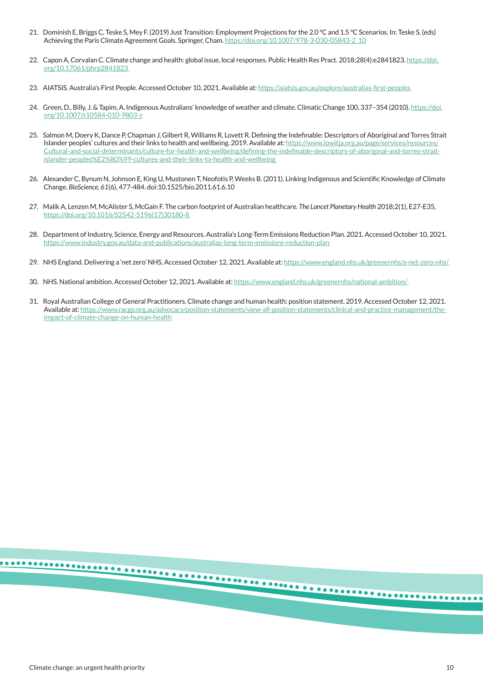- 21. Dominish E, Briggs C, Teske S, Mey F. (2019) Just Transition: Employment Projections for the 2.0 °C and 1.5 °C Scenarios. In: Teske S. (eds) Achieving the Paris Climate Agreement Goals. Springer, Cham. https://doi.org/10.1007/978-3-030-05843-2\_10
- 22. Capon A, Corvalan C. Climate change and health: global issue, local responses. Public Health Res Pract. 2018;28(4):e2841823. https://doi. org/10.17061/phrp2841823
- 23. AIATSIS. Australia's First People. Accessed October 10, 2021. Available at: https://aiatsis.gov.au/explore/australias-first-peoples
- 24. Green, D., Billy, J. & Tapim, A. Indigenous Australians' knowledge of weather and climate. Climatic Change 100, 337-354 (2010). https://doi. org/10.1007/s10584-010-9803-z
- 25. Salmon M, Doery K, Dance P, Chapman J, Gilbert R, Williams R, Lovett R. Defining the Indefinable: Descriptors of Aboriginal and Torres Strait Islander peoples' cultures and their links to health and wellbeing. 2019. Available at: https://www.lowitja.org.au/page/services/resources/ Cultural-and-social-determinants/culture-for-health-and-wellbeing/defining-the-indefinable-descriptors-of-aboriginal-and-torres-straitislander-peoples%E2%80%99-cultures-and-their-links-to-health-and-wellbeing
- 26. Alexander C, Bynum N, Johnson E, King U, Mustonen T, Neofotis P, Weeks B. (2011). Linking Indigenous and Scientific Knowledge of Climate Change. *BioScience, 61*(6), 477-484. doi:10.1525/bio.2011.61.6.10
- 27. Malik A, Lenzen M, McAlister S, McGain F. The carbon footprint of Australian healthcare. *The Lancet Planetary Health* 2018;2(1), E27-E35, https://doi.org/10.1016/S2542-5196(17)30180-8
- 28. Department of Industry, Science, Energy and Resources. Australia's Long-Term Emissions Reduction Plan. 2021. Accessed October 10, 2021. https://www.industry.gov.au/data-and-publications/australias-long-term-emissions-reduction-plan
- 29. NHS England. Delivering a 'net zero' NHS. Accessed October 12, 2021. Available at: https://www.england.nhs.uk/greenernhs/a-net-zero-nhs/
- 30. NHS. National ambition. Accessed October 12, 2021. Available at: https://www.england.nhs.uk/greenernhs/national-ambition/
- 31. Royal Australian College of General Practitioners. Climate change and human health: position statement. 2019. Accessed October 12, 2021. Available at: https://www.racgp.org.au/advocacy/position-statements/view-all-position-statements/clinical-and-practice-management/theimpact-of-climate-change-on-human-health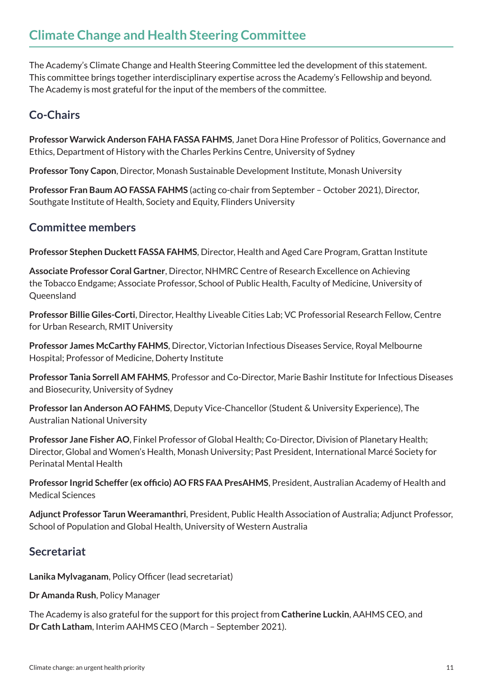The Academy's Climate Change and Health Steering Committee led the development of this statement. This committee brings together interdisciplinary expertise across the Academy's Fellowship and beyond. The Academy is most grateful for the input of the members of the committee.

# **Co-Chairs**

**Professor Warwick Anderson FAHA FASSA FAHMS**, Janet Dora Hine Professor of Politics, Governance and Ethics, Department of History with the Charles Perkins Centre, University of Sydney

**Professor Tony Capon**, Director, Monash Sustainable Development Institute, Monash University

**Professor Fran Baum AO FASSA FAHMS** (acting co-chair from September – October 2021), Director, Southgate Institute of Health, Society and Equity, Flinders University

# **Committee members**

**Professor Stephen Duckett FASSA FAHMS**, Director, Health and Aged Care Program, Grattan Institute

**Associate Professor Coral Gartner**, Director, NHMRC Centre of Research Excellence on Achieving the Tobacco Endgame; Associate Professor, School of Public Health, Faculty of Medicine, University of **Queensland** 

**Professor Billie Giles-Corti**, Director, Healthy Liveable Cities Lab; VC Professorial Research Fellow, Centre for Urban Research, RMIT University

**Professor James McCarthy FAHMS**, Director, Victorian Infectious Diseases Service, Royal Melbourne Hospital; Professor of Medicine, Doherty Institute

**Professor Tania Sorrell AM FAHMS**, Professor and Co-Director, Marie Bashir Institute for Infectious Diseases and Biosecurity, University of Sydney

**Professor Ian Anderson AO FAHMS**, Deputy Vice-Chancellor (Student & University Experience), The Australian National University

**Professor Jane Fisher AO**, Finkel Professor of Global Health; Co-Director, Division of Planetary Health; Director, Global and Women's Health, Monash University; Past President, International Marcé Society for Perinatal Mental Health

**Professor Ingrid Scheffer (ex officio) AO FRS FAA PresAHMS**, President, Australian Academy of Health and Medical Sciences

**Adjunct Professor Tarun Weeramanthri**, President, Public Health Association of Australia; Adjunct Professor, School of Population and Global Health, University of Western Australia

# **Secretariat**

**Lanika Mylvaganam**, Policy Officer (lead secretariat)

**Dr Amanda Rush**, Policy Manager

The Academy is also grateful for the support for this project from **Catherine Luckin**, AAHMS CEO, and **Dr Cath Latham**, Interim AAHMS CEO (March – September 2021).